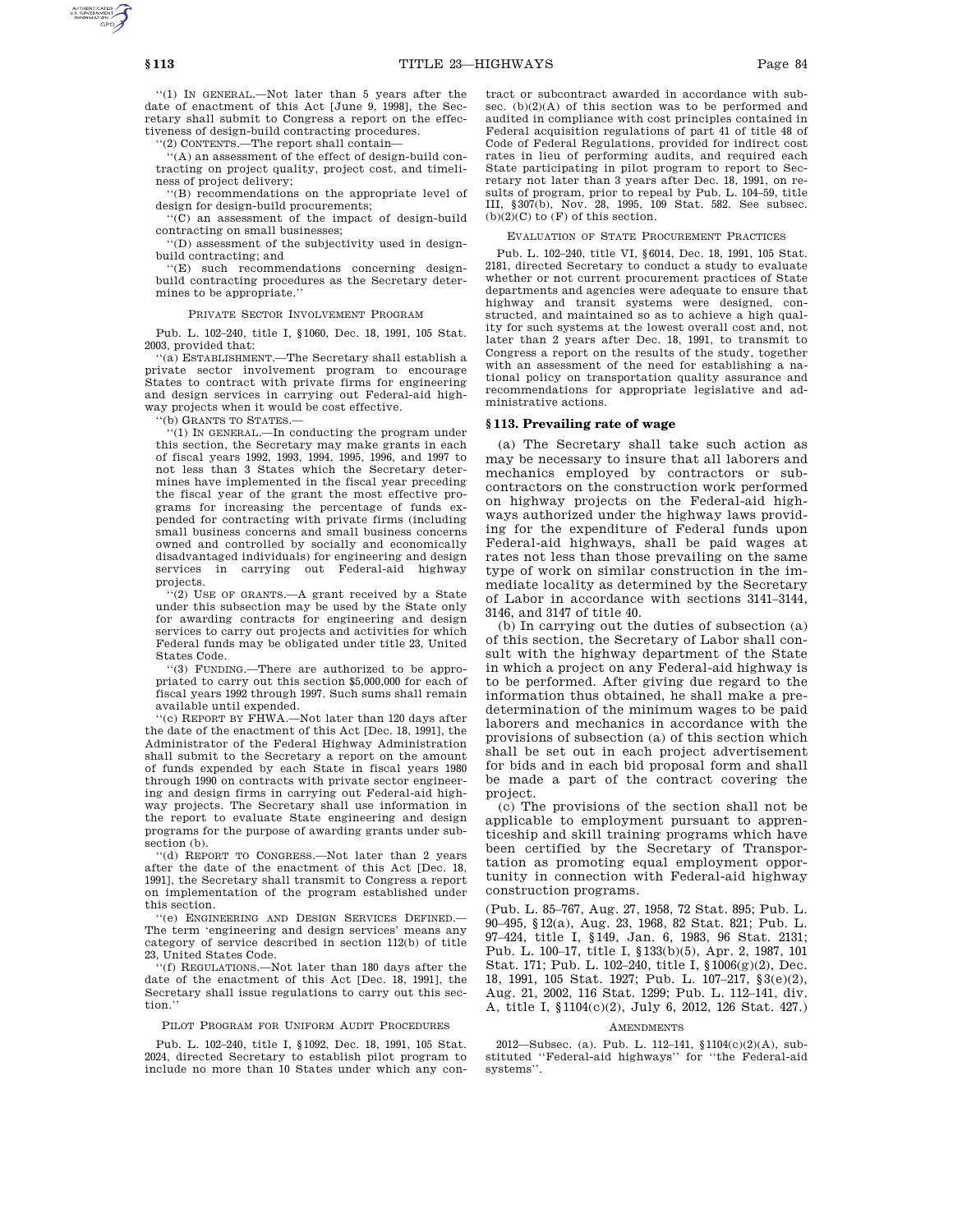''(1) IN GENERAL.—Not later than 5 years after the date of enactment of this Act [June 9, 1998], the Secretary shall submit to Congress a report on the effectiveness of design-build contracting procedures.

''(2) CONTENTS.—The report shall contain—

'(A) an assessment of the effect of design-build contracting on project quality, project cost, and timeliness of project delivery;

''(B) recommendations on the appropriate level of design for design-build procurements;

''(C) an assessment of the impact of design-build contracting on small businesses;

''(D) assessment of the subjectivity used in designbuild contracting; and

''(E) such recommendations concerning designbuild contracting procedures as the Secretary determines to be appropriate.''

PRIVATE SECTOR INVOLVEMENT PROGRAM

Pub. L. 102–240, title I, §1060, Dec. 18, 1991, 105 Stat. 2003, provided that:

''(a) ESTABLISHMENT.—The Secretary shall establish a private sector involvement program to encourage States to contract with private firms for engineering and design services in carrying out Federal-aid highway projects when it would be cost effective.

''(b) GRANTS TO STATES.—

''(1) IN GENERAL.—In conducting the program under this section, the Secretary may make grants in each of fiscal years 1992, 1993, 1994, 1995, 1996, and 1997 to not less than 3 States which the Secretary determines have implemented in the fiscal year preceding the fiscal year of the grant the most effective programs for increasing the percentage of funds expended for contracting with private firms (including small business concerns and small business concerns owned and controlled by socially and economically disadvantaged individuals) for engineering and design services in carrying out Federal-aid highway projects.

''(2) USE OF GRANTS.—A grant received by a State under this subsection may be used by the State only for awarding contracts for engineering and design services to carry out projects and activities for which Federal funds may be obligated under title 23, United States Code.

''(3) FUNDING.—There are authorized to be appropriated to carry out this section \$5,000,000 for each of fiscal years 1992 through 1997. Such sums shall remain available until expended.

'(c) REPORT BY FHWA.—Not later than 120 days after the date of the enactment of this Act [Dec. 18, 1991], the Administrator of the Federal Highway Administration shall submit to the Secretary a report on the amount of funds expended by each State in fiscal years 1980 through 1990 on contracts with private sector engineering and design firms in carrying out Federal-aid highway projects. The Secretary shall use information in the report to evaluate State engineering and design programs for the purpose of awarding grants under subsection (b).

''(d) REPORT TO CONGRESS.—Not later than 2 years after the date of the enactment of this Act [Dec. 18, 1991], the Secretary shall transmit to Congress a report on implementation of the program established under this section.

''(e) ENGINEERING AND DESIGN SERVICES DEFINED.— The term 'engineering and design services' means any category of service described in section 112(b) of title 23, United States Code.

''(f) REGULATIONS.—Not later than 180 days after the date of the enactment of this Act [Dec. 18, 1991], the Secretary shall issue regulations to carry out this section.''

# PILOT PROGRAM FOR UNIFORM AUDIT PROCEDURES

Pub. L. 102–240, title I, §1092, Dec. 18, 1991, 105 Stat. 2024, directed Secretary to establish pilot program to include no more than 10 States under which any contract or subcontract awarded in accordance with subsec. (b)(2)(A) of this section was to be performed and audited in compliance with cost principles contained in Federal acquisition regulations of part 41 of title 48 of Code of Federal Regulations, provided for indirect cost rates in lieu of performing audits, and required each State participating in pilot program to report to Secretary not later than 3 years after Dec. 18, 1991, on results of program, prior to repeal by Pub. L. 104–59, title III, §307(b), Nov. 28, 1995, 109 Stat. 582. See subsec.  $(b)(2)(C)$  to  $(F)$  of this section.

# EVALUATION OF STATE PROCUREMENT PRACTICES

Pub. L. 102–240, title VI, §6014, Dec. 18, 1991, 105 Stat. 2181, directed Secretary to conduct a study to evaluate whether or not current procurement practices of State departments and agencies were adequate to ensure that highway and transit systems were designed, constructed, and maintained so as to achieve a high quality for such systems at the lowest overall cost and, not later than 2 years after Dec. 18, 1991, to transmit to Congress a report on the results of the study, together with an assessment of the need for establishing a national policy on transportation quality assurance and recommendations for appropriate legislative and administrative actions.

### **§ 113. Prevailing rate of wage**

(a) The Secretary shall take such action as may be necessary to insure that all laborers and mechanics employed by contractors or subcontractors on the construction work performed on highway projects on the Federal-aid highways authorized under the highway laws providing for the expenditure of Federal funds upon Federal-aid highways, shall be paid wages at rates not less than those prevailing on the same type of work on similar construction in the immediate locality as determined by the Secretary of Labor in accordance with sections 3141–3144, 3146, and 3147 of title 40.

(b) In carrying out the duties of subsection (a) of this section, the Secretary of Labor shall consult with the highway department of the State in which a project on any Federal-aid highway is to be performed. After giving due regard to the information thus obtained, he shall make a predetermination of the minimum wages to be paid laborers and mechanics in accordance with the provisions of subsection (a) of this section which shall be set out in each project advertisement for bids and in each bid proposal form and shall be made a part of the contract covering the project.

(c) The provisions of the section shall not be applicable to employment pursuant to apprenticeship and skill training programs which have been certified by the Secretary of Transportation as promoting equal employment opportunity in connection with Federal-aid highway construction programs.

(Pub. L. 85–767, Aug. 27, 1958, 72 Stat. 895; Pub. L. 90–495, §12(a), Aug. 23, 1968, 82 Stat. 821; Pub. L. 97–424, title I, §149, Jan. 6, 1983, 96 Stat. 2131; Pub. L. 100–17, title I, §133(b)(5), Apr. 2, 1987, 101 Stat. 171; Pub. L. 102–240, title I, §1006(g)(2), Dec. 18, 1991, 105 Stat. 1927; Pub. L. 107–217, §3(e)(2), Aug. 21, 2002, 116 Stat. 1299; Pub. L. 112–141, div. A, title I, §1104(c)(2), July 6, 2012, 126 Stat. 427.)

#### AMENDMENTS

2012—Subsec. (a). Pub. L. 112–141, §1104(c)(2)(A), sub-stituted ''Federal-aid highways'' for ''the Federal-aid systems''.